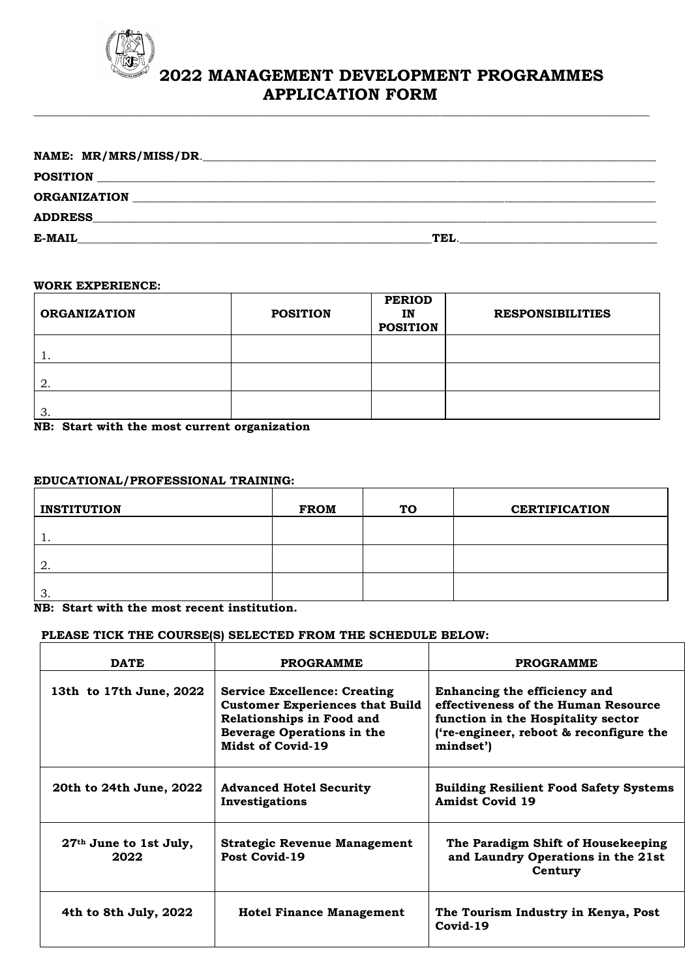

# **2022 MANAGEMENT DEVELOPMENT PROGRAMMES APPLICATION FORM**

| NAME: MR/MRS/MISS/DR.<br><u> 1980 - John Stone, Amerikaansk politiker (* 1918)</u> |      |
|------------------------------------------------------------------------------------|------|
| <b>POSITION</b>                                                                    |      |
| <b>ORGANIZATION</b>                                                                |      |
| <b>ADDRESS</b>                                                                     |      |
| E-MAIL                                                                             | TEL. |
|                                                                                    |      |

 $\_$  ,  $\_$  ,  $\_$  ,  $\_$  ,  $\_$  ,  $\_$  ,  $\_$  ,  $\_$  ,  $\_$  ,  $\_$  ,  $\_$  ,  $\_$  ,  $\_$  ,  $\_$  ,  $\_$  ,  $\_$  ,  $\_$  ,  $\_$  ,  $\_$  ,  $\_$  ,  $\_$  ,  $\_$  ,  $\_$  ,  $\_$  ,  $\_$  ,  $\_$  ,  $\_$  ,  $\_$  ,  $\_$  ,  $\_$  ,  $\_$  ,  $\_$  ,  $\_$  ,  $\_$  ,  $\_$  ,  $\_$  ,  $\_$  ,

#### **WORK EXPERIENCE:**

| <b>ORGANIZATION</b> | <b>POSITION</b> | <b>PERIOD</b><br>IN<br><b>POSITION</b> | <b>RESPONSIBILITIES</b> |
|---------------------|-----------------|----------------------------------------|-------------------------|
| ᅩ.                  |                 |                                        |                         |
| 2.                  |                 |                                        |                         |
| 3.                  |                 |                                        |                         |

**NB: Start with the most current organization**

## **EDUCATIONAL/PROFESSIONAL TRAINING:**

| <b>INSTITUTION</b> | <b>FROM</b> | <b>TO</b> | <b>CERTIFICATION</b> |
|--------------------|-------------|-----------|----------------------|
| . .                |             |           |                      |
| 2.                 |             |           |                      |
| n<br>ာ.            |             |           |                      |

**NB: Start with the most recent institution.**

# **PLEASE TICK THE COURSE(S) SELECTED FROM THE SCHEDULE BELOW:**

| <b>DATE</b>                      | <b>PROGRAMME</b>                                                                                                                                              | <b>PROGRAMME</b>                                                                                                                                                  |
|----------------------------------|---------------------------------------------------------------------------------------------------------------------------------------------------------------|-------------------------------------------------------------------------------------------------------------------------------------------------------------------|
| 13th to 17th June, 2022          | <b>Service Excellence: Creating</b><br><b>Customer Experiences that Build</b><br>Relationships in Food and<br>Beverage Operations in the<br>Midst of Covid-19 | Enhancing the efficiency and<br>effectiveness of the Human Resource<br>function in the Hospitality sector<br>('re-engineer, reboot & reconfigure the<br>mindset') |
| 20th to 24th June, 2022          | <b>Advanced Hotel Security</b><br>Investigations                                                                                                              | <b>Building Resilient Food Safety Systems</b><br><b>Amidst Covid 19</b>                                                                                           |
| $27th$ June to 1st July,<br>2022 | <b>Strategic Revenue Management</b><br>Post Covid-19                                                                                                          | The Paradigm Shift of Housekeeping<br>and Laundry Operations in the 21st<br>Century                                                                               |
| 4th to 8th July, 2022            | <b>Hotel Finance Management</b>                                                                                                                               | The Tourism Industry in Kenya, Post<br>Covid-19                                                                                                                   |